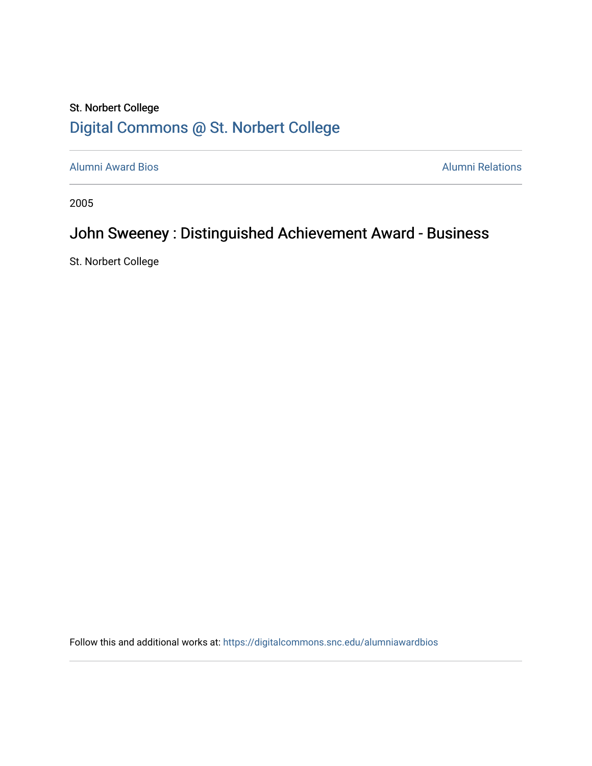## St. Norbert College [Digital Commons @ St. Norbert College](https://digitalcommons.snc.edu/)

[Alumni Award Bios](https://digitalcommons.snc.edu/alumniawardbios) **Alumni Relations** Alumni Relations

2005

## John Sweeney : Distinguished Achievement Award - Business

St. Norbert College

Follow this and additional works at: [https://digitalcommons.snc.edu/alumniawardbios](https://digitalcommons.snc.edu/alumniawardbios?utm_source=digitalcommons.snc.edu%2Falumniawardbios%2F19&utm_medium=PDF&utm_campaign=PDFCoverPages)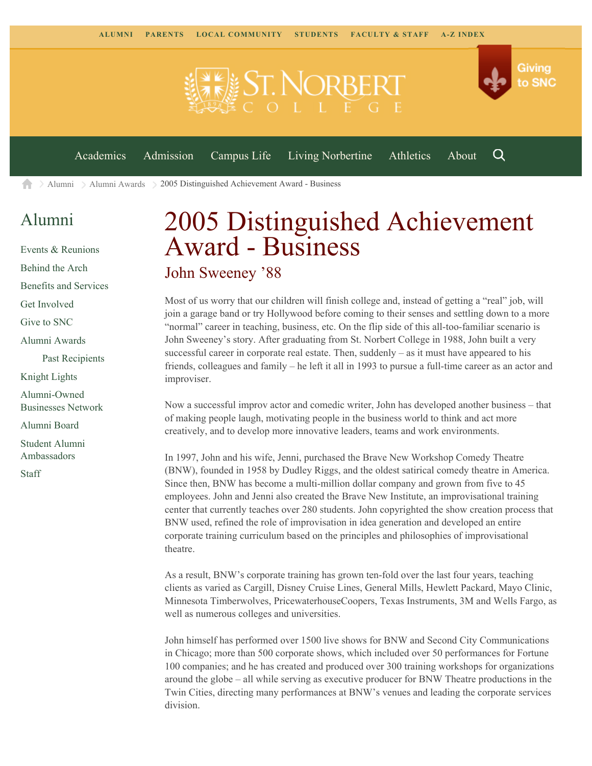

[Alumni](https://www.snc.edu/alumni/) [Alumni Awards](https://www.snc.edu/alumni/awards/) 2005 Distinguished Achievement Award - Business A

## [Alumni](https://www.snc.edu/alumni/index.html)

[Events & Reunions](https://www.snc.edu/alumni/event/index.html) [Behind the Arch](https://www.snc.edu/alumni/event/behindthearch/) [Benefits and Services](https://www.snc.edu/alumni/benefits.html) [Get Involved](https://www.snc.edu/alumni/getinvolved.html) [Give to SNC](http://giving.snc.edu/) [Alumni Awards](https://www.snc.edu/alumni/awards/index.html) [Past Recipients](https://www.snc.edu/alumni/awards/recipients.html) [Knight Lights](https://www.snc.edu/alumni/knightlights/index.html) [Alumni-Owned](https://www.snc.edu/alumni/directory/index.html) [Businesses Network](https://www.snc.edu/alumni/directory/index.html) [Alumni Board](https://www.snc.edu/alumni/alumniboard.html) [Student Alumni](https://www.snc.edu/alumni/saa.html) [Ambassadors](https://www.snc.edu/alumni/saa.html) [Staff](https://www.snc.edu/alumni/contactus.html)

## 2005 Distinguished Achievement Award - Business John Sweeney '88

Most of us worry that our children will finish college and, instead of getting a "real" job, will join a garage band or try Hollywood before coming to their senses and settling down to a more "normal" career in teaching, business, etc. On the flip side of this all-too-familiar scenario is John Sweeney's story. After graduating from St. Norbert College in 1988, John built a very successful career in corporate real estate. Then, suddenly – as it must have appeared to his friends, colleagues and family – he left it all in 1993 to pursue a full-time career as an actor and improviser.

Now a successful improv actor and comedic writer, John has developed another business – that of making people laugh, motivating people in the business world to think and act more creatively, and to develop more innovative leaders, teams and work environments.

In 1997, John and his wife, Jenni, purchased the Brave New Workshop Comedy Theatre (BNW), founded in 1958 by Dudley Riggs, and the oldest satirical comedy theatre in America. Since then, BNW has become a multi-million dollar company and grown from five to 45 employees. John and Jenni also created the Brave New Institute, an improvisational training center that currently teaches over 280 students. John copyrighted the show creation process that BNW used, refined the role of improvisation in idea generation and developed an entire corporate training curriculum based on the principles and philosophies of improvisational theatre.

As a result, BNW's corporate training has grown ten-fold over the last four years, teaching clients as varied as Cargill, Disney Cruise Lines, General Mills, Hewlett Packard, Mayo Clinic, Minnesota Timberwolves, PricewaterhouseCoopers, Texas Instruments, 3M and Wells Fargo, as well as numerous colleges and universities.

John himself has performed over 1500 live shows for BNW and Second City Communications in Chicago; more than 500 corporate shows, which included over 50 performances for Fortune 100 companies; and he has created and produced over 300 training workshops for organizations around the globe – all while serving as executive producer for BNW Theatre productions in the Twin Cities, directing many performances at BNW's venues and leading the corporate services division.